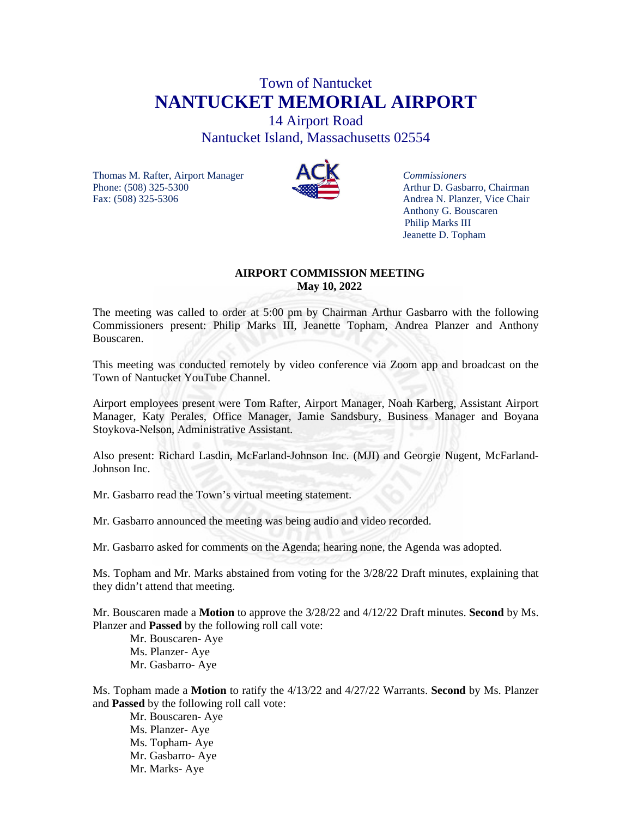# Town of Nantucket **NANTUCKET MEMORIAL AIRPORT**

14 Airport Road Nantucket Island, Massachusetts 02554

Thomas M. Rafter, Airport Manager<br>
Phone: (508) 325-5300<br>
Arthur D. Gasba Fax: (508) 325-5306 Andrea N. Planzer, Vice Chair



Arthur D. Gasbarro, Chairman Anthony G. Bouscaren Philip Marks III Jeanette D. Topham

## **AIRPORT COMMISSION MEETING May 10, 2022**

The meeting was called to order at 5:00 pm by Chairman Arthur Gasbarro with the following Commissioners present: Philip Marks III, Jeanette Topham, Andrea Planzer and Anthony Bouscaren.

This meeting was conducted remotely by video conference via Zoom app and broadcast on the Town of Nantucket YouTube Channel.

Airport employees present were Tom Rafter, Airport Manager, Noah Karberg, Assistant Airport Manager, Katy Perales, Office Manager, Jamie Sandsbury, Business Manager and Boyana Stoykova-Nelson, Administrative Assistant.

Also present: Richard Lasdin, McFarland-Johnson Inc. (MJI) and Georgie Nugent, McFarland-Johnson Inc.

Mr. Gasbarro read the Town's virtual meeting statement.

Mr. Gasbarro announced the meeting was being audio and video recorded.

Mr. Gasbarro asked for comments on the Agenda; hearing none, the Agenda was adopted.

Ms. Topham and Mr. Marks abstained from voting for the 3/28/22 Draft minutes, explaining that they didn't attend that meeting.

Mr. Bouscaren made a **Motion** to approve the 3/28/22 and 4/12/22 Draft minutes. **Second** by Ms. Planzer and **Passed** by the following roll call vote:

Mr. Bouscaren- Aye Ms. Planzer- Aye Mr. Gasbarro- Aye

Ms. Topham made a **Motion** to ratify the 4/13/22 and 4/27/22 Warrants. **Second** by Ms. Planzer and **Passed** by the following roll call vote:

Mr. Bouscaren- Aye Ms. Planzer- Aye Ms. Topham- Aye Mr. Gasbarro- Aye Mr. Marks- Aye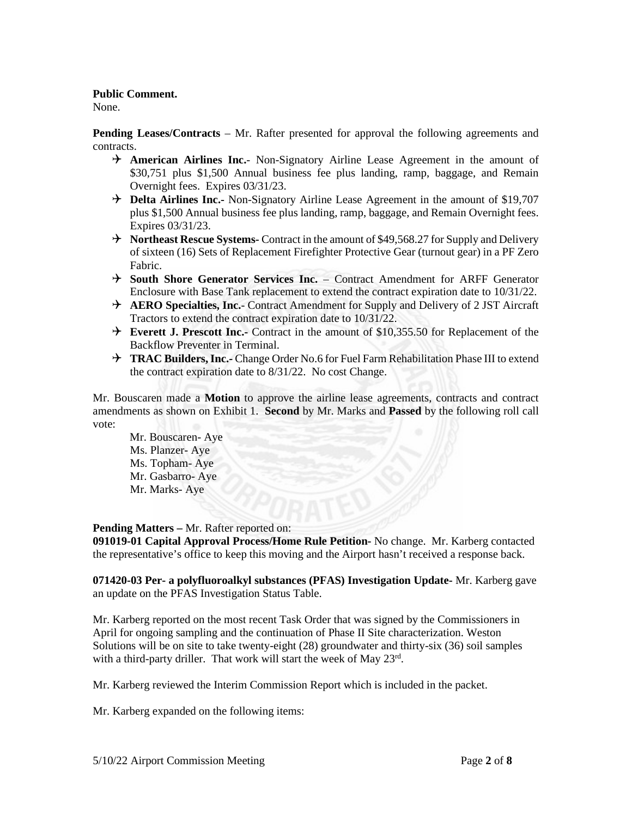## **Public Comment.**

None.

**Pending Leases/Contracts** – Mr. Rafter presented for approval the following agreements and contracts.

- **American Airlines Inc.** Non-Signatory Airline Lease Agreement in the amount of \$30,751 plus \$1,500 Annual business fee plus landing, ramp, baggage, and Remain Overnight fees. Expires 03/31/23.
- **H** Delta Airlines Inc.- Non-Signatory Airline Lease Agreement in the amount of \$19,707 plus \$1,500 Annual business fee plus landing, ramp, baggage, and Remain Overnight fees. Expires 03/31/23.
- **Northeast Rescue Systems-** Contract in the amount of \$49,568.27 for Supply and Delivery of sixteen (16) Sets of Replacement Firefighter Protective Gear (turnout gear) in a PF Zero Fabric.
- **South Shore Generator Services Inc.** Contract Amendment for ARFF Generator Enclosure with Base Tank replacement to extend the contract expiration date to 10/31/22.
- **AERO Specialties, Inc.** Contract Amendment for Supply and Delivery of 2 JST Aircraft Tractors to extend the contract expiration date to 10/31/22.
- **Everett J. Prescott Inc.-** Contract in the amount of \$10,355.50 for Replacement of the Backflow Preventer in Terminal.
- **TRAC Builders, Inc.-** Change Order No.6 for Fuel Farm Rehabilitation Phase III to extend the contract expiration date to 8/31/22. No cost Change.

Mr. Bouscaren made a **Motion** to approve the airline lease agreements, contracts and contract amendments as shown on Exhibit 1. **Second** by Mr. Marks and **Passed** by the following roll call vote:

 Mr. Bouscaren- Aye Ms. Planzer- Aye Ms. Topham- Aye Mr. Gasbarro- Aye Mr. Marks- Aye

## **Pending Matters –** Mr. Rafter reported on:

**091019-01 Capital Approval Process/Home Rule Petition-** No change. Mr. Karberg contacted the representative's office to keep this moving and the Airport hasn't received a response back.

**071420-03 Per- a polyfluoroalkyl substances (PFAS) Investigation Update-** Mr. Karberg gave an update on the PFAS Investigation Status Table.

Mr. Karberg reported on the most recent Task Order that was signed by the Commissioners in April for ongoing sampling and the continuation of Phase II Site characterization. Weston Solutions will be on site to take twenty-eight (28) groundwater and thirty-six (36) soil samples with a third-party driller. That work will start the week of May 23<sup>rd</sup>.

Mr. Karberg reviewed the Interim Commission Report which is included in the packet.

Mr. Karberg expanded on the following items: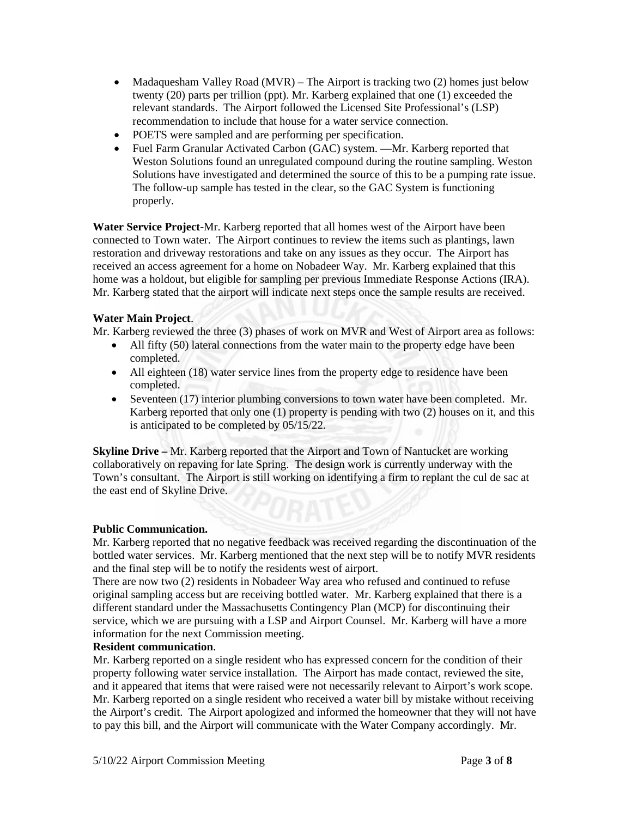- Madaquesham Valley Road (MVR) The Airport is tracking two  $(2)$  homes just below twenty (20) parts per trillion (ppt). Mr. Karberg explained that one (1) exceeded the relevant standards. The Airport followed the Licensed Site Professional's (LSP) recommendation to include that house for a water service connection.
- POETS were sampled and are performing per specification.
- Fuel Farm Granular Activated Carbon (GAC) system. —Mr. Karberg reported that Weston Solutions found an unregulated compound during the routine sampling. Weston Solutions have investigated and determined the source of this to be a pumping rate issue. The follow-up sample has tested in the clear, so the GAC System is functioning properly.

**Water Service Project-**Mr. Karberg reported that all homes west of the Airport have been connected to Town water. The Airport continues to review the items such as plantings, lawn restoration and driveway restorations and take on any issues as they occur. The Airport has received an access agreement for a home on Nobadeer Way. Mr. Karberg explained that this home was a holdout, but eligible for sampling per previous Immediate Response Actions (IRA). Mr. Karberg stated that the airport will indicate next steps once the sample results are received.

## **Water Main Project**.

Mr. Karberg reviewed the three (3) phases of work on MVR and West of Airport area as follows:

- All fifty (50) lateral connections from the water main to the property edge have been completed.
- All eighteen (18) water service lines from the property edge to residence have been completed.
- Seventeen (17) interior plumbing conversions to town water have been completed. Mr. Karberg reported that only one (1) property is pending with two (2) houses on it, and this is anticipated to be completed by 05/15/22.

**Skyline Drive –** Mr. Karberg reported that the Airport and Town of Nantucket are working collaboratively on repaving for late Spring. The design work is currently underway with the Town's consultant. The Airport is still working on identifying a firm to replant the cul de sac at the east end of Skyline Drive.

## **Public Communication.**

Mr. Karberg reported that no negative feedback was received regarding the discontinuation of the bottled water services. Mr. Karberg mentioned that the next step will be to notify MVR residents and the final step will be to notify the residents west of airport.

There are now two (2) residents in Nobadeer Way area who refused and continued to refuse original sampling access but are receiving bottled water. Mr. Karberg explained that there is a different standard under the Massachusetts Contingency Plan (MCP) for discontinuing their service, which we are pursuing with a LSP and Airport Counsel. Mr. Karberg will have a more information for the next Commission meeting.

## **Resident communication**.

Mr. Karberg reported on a single resident who has expressed concern for the condition of their property following water service installation. The Airport has made contact, reviewed the site, and it appeared that items that were raised were not necessarily relevant to Airport's work scope. Mr. Karberg reported on a single resident who received a water bill by mistake without receiving the Airport's credit. The Airport apologized and informed the homeowner that they will not have to pay this bill, and the Airport will communicate with the Water Company accordingly. Mr.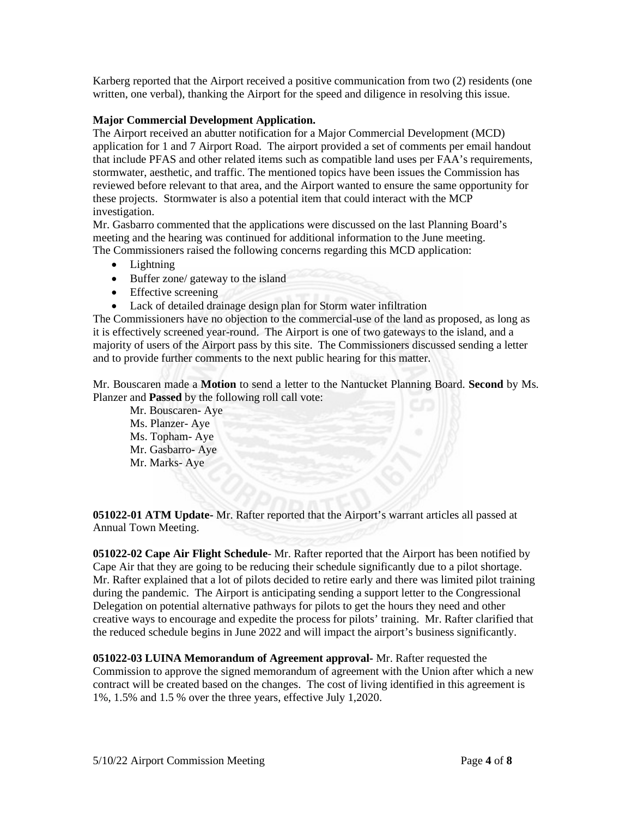Karberg reported that the Airport received a positive communication from two (2) residents (one written, one verbal), thanking the Airport for the speed and diligence in resolving this issue.

## **Major Commercial Development Application.**

The Airport received an abutter notification for a Major Commercial Development (MCD) application for 1 and 7 Airport Road. The airport provided a set of comments per email handout that include PFAS and other related items such as compatible land uses per FAA's requirements, stormwater, aesthetic, and traffic. The mentioned topics have been issues the Commission has reviewed before relevant to that area, and the Airport wanted to ensure the same opportunity for these projects. Stormwater is also a potential item that could interact with the MCP investigation.

Mr. Gasbarro commented that the applications were discussed on the last Planning Board's meeting and the hearing was continued for additional information to the June meeting. The Commissioners raised the following concerns regarding this MCD application:

- Lightning
- Buffer zone/ gateway to the island
- Effective screening
- Lack of detailed drainage design plan for Storm water infiltration

The Commissioners have no objection to the commercial-use of the land as proposed, as long as it is effectively screened year-round. The Airport is one of two gateways to the island, and a majority of users of the Airport pass by this site. The Commissioners discussed sending a letter and to provide further comments to the next public hearing for this matter.

Mr. Bouscaren made a **Motion** to send a letter to the Nantucket Planning Board. **Second** by Ms. Planzer and **Passed** by the following roll call vote:

 Mr. Bouscaren- Aye Ms. Planzer- Aye Ms. Topham- Aye Mr. Gasbarro- Aye Mr. Marks- Aye

**051022-01 ATM Update-** Mr. Rafter reported that the Airport's warrant articles all passed at Annual Town Meeting.

**051022-02 Cape Air Flight Schedule**- Mr. Rafter reported that the Airport has been notified by Cape Air that they are going to be reducing their schedule significantly due to a pilot shortage. Mr. Rafter explained that a lot of pilots decided to retire early and there was limited pilot training during the pandemic. The Airport is anticipating sending a support letter to the Congressional Delegation on potential alternative pathways for pilots to get the hours they need and other creative ways to encourage and expedite the process for pilots' training. Mr. Rafter clarified that the reduced schedule begins in June 2022 and will impact the airport's business significantly.

**051022-03 LUINA Memorandum of Agreement approval-** Mr. Rafter requested the Commission to approve the signed memorandum of agreement with the Union after which a new contract will be created based on the changes. The cost of living identified in this agreement is 1%, 1.5% and 1.5 % over the three years, effective July 1,2020.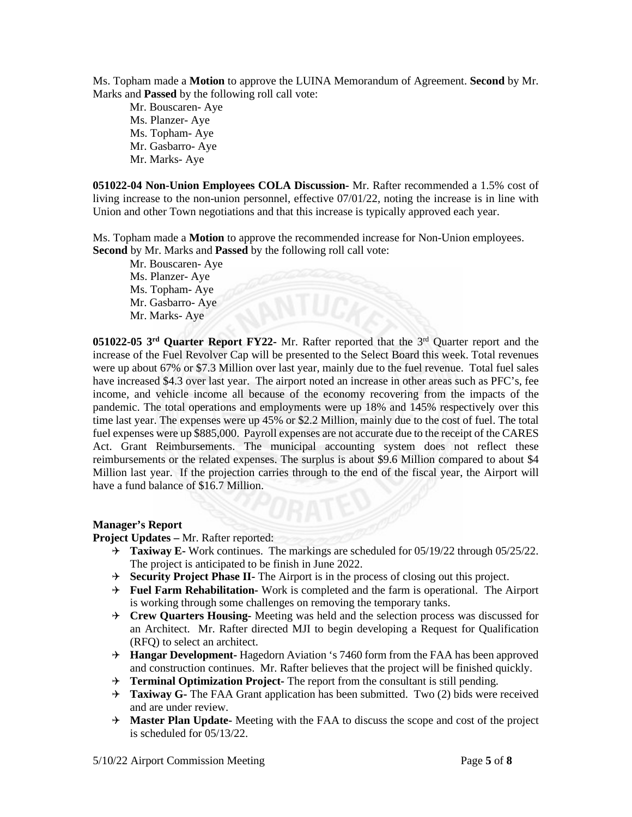Ms. Topham made a **Motion** to approve the LUINA Memorandum of Agreement. **Second** by Mr. Marks and **Passed** by the following roll call vote:

 Mr. Bouscaren- Aye Ms. Planzer- Aye Ms. Topham- Aye Mr. Gasbarro- Aye Mr. Marks- Aye

**051022-04 Non-Union Employees COLA Discussion-** Mr. Rafter recommended a 1.5% cost of living increase to the non-union personnel, effective 07/01/22, noting the increase is in line with Union and other Town negotiations and that this increase is typically approved each year.

Ms. Topham made a **Motion** to approve the recommended increase for Non-Union employees. **Second** by Mr. Marks and **Passed** by the following roll call vote:

 Mr. Bouscaren- Aye Ms. Planzer- Aye Ms. Topham- Aye Mr. Gasbarro- Aye Mr. Marks- Aye

**051022-05 3rd Quarter Report FY22-** Mr. Rafter reported that the 3rd Quarter report and the increase of the Fuel Revolver Cap will be presented to the Select Board this week. Total revenues were up about 67% or \$7.3 Million over last year, mainly due to the fuel revenue. Total fuel sales have increased \$4.3 over last year. The airport noted an increase in other areas such as PFC's, fee income, and vehicle income all because of the economy recovering from the impacts of the pandemic. The total operations and employments were up 18% and 145% respectively over this time last year. The expenses were up 45% or \$2.2 Million, mainly due to the cost of fuel. The total fuel expenses were up \$885,000. Payroll expenses are not accurate due to the receipt of the CARES Act. Grant Reimbursements. The municipal accounting system does not reflect these reimbursements or the related expenses. The surplus is about \$9.6 Million compared to about \$4 Million last year. If the projection carries through to the end of the fiscal year, the Airport will have a fund balance of \$16.7 Million.

## **Manager's Report**

**Project Updates –** Mr. Rafter reported:

- **Taxiway E-** Work continues. The markings are scheduled for 05/19/22 through 05/25/22. The project is anticipated to be finish in June 2022.
- **Security Project Phase II-** The Airport is in the process of closing out this project.
- **Fuel Farm Rehabilitation-** Work is completed and the farm is operational. The Airport is working through some challenges on removing the temporary tanks.
- **Crew Quarters Housing-** Meeting was held and the selection process was discussed for an Architect. Mr. Rafter directed MJI to begin developing a Request for Qualification (RFQ) to select an architect.
- **Hangar Development-** Hagedorn Aviation 's 7460 form from the FAA has been approved and construction continues. Mr. Rafter believes that the project will be finished quickly.
- **Terminal Optimization Project-** The report from the consultant is still pending.
- **Taxiway G-** The FAA Grant application has been submitted. Two (2) bids were received and are under review.
- **Master Plan Update-** Meeting with the FAA to discuss the scope and cost of the project is scheduled for 05/13/22.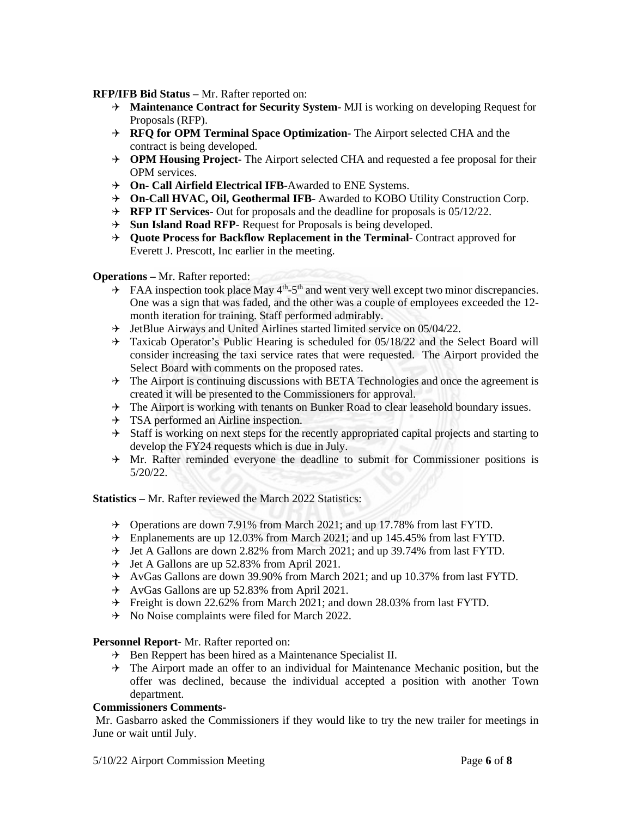**RFP/IFB Bid Status –** Mr. Rafter reported on:

- **Maintenance Contract for Security System** MJI is working on developing Request for Proposals (RFP).
- **RFQ for OPM Terminal Space Optimization** The Airport selected CHA and the contract is being developed.
- **OPM Housing Project** The Airport selected CHA and requested a fee proposal for their OPM services.
- **On- Call Airfield Electrical IFB**-Awarded to ENE Systems.
- **On-Call HVAC, Oil, Geothermal IFB** Awarded to KOBO Utility Construction Corp.
- **RFP IT Services** Out for proposals and the deadline for proposals is 05/12/22.
- **Sun Island Road RFP** Request for Proposals is being developed.
- $\rightarrow$  **Ouote Process for Backflow Replacement in the Terminal-Contract approved for** Everett J. Prescott, Inc earlier in the meeting.

## **Operations –** Mr. Rafter reported:

- $\rightarrow$  FAA inspection took place May 4<sup>th</sup>-5<sup>th</sup> and went very well except two minor discrepancies. One was a sign that was faded, and the other was a couple of employees exceeded the 12 month iteration for training. Staff performed admirably.
- $\rightarrow$  JetBlue Airways and United Airlines started limited service on 05/04/22.
- $\rightarrow$  Taxicab Operator's Public Hearing is scheduled for 05/18/22 and the Select Board will consider increasing the taxi service rates that were requested. The Airport provided the Select Board with comments on the proposed rates.
- $\rightarrow$  The Airport is continuing discussions with BETA Technologies and once the agreement is created it will be presented to the Commissioners for approval.
- $\rightarrow$  The Airport is working with tenants on Bunker Road to clear leasehold boundary issues.
- $\rightarrow$  TSA performed an Airline inspection.
- $\rightarrow$  Staff is working on next steps for the recently appropriated capital projects and starting to develop the FY24 requests which is due in July.
- $\rightarrow$  Mr. Rafter reminded everyone the deadline to submit for Commissioner positions is 5/20/22.

**Statistics –** Mr. Rafter reviewed the March 2022 Statistics:

- Operations are down 7.91% from March 2021; and up 17.78% from last FYTD.
- Enplanements are up 12.03% from March 2021; and up 145.45% from last FYTD.
- $\div$  Jet A Gallons are down 2.82% from March 2021; and up 39.74% from last FYTD.
- $\rightarrow$  Jet A Gallons are up 52.83% from April 2021.
- $\rightarrow$  AvGas Gallons are down 39.90% from March 2021; and up 10.37% from last FYTD.
- $\rightarrow$  AvGas Gallons are up 52.83% from April 2021.
- Freight is down 22.62% from March 2021; and down 28.03% from last FYTD.
- $\rightarrow$  No Noise complaints were filed for March 2022.

## **Personnel Report-** Mr. Rafter reported on:

- $\rightarrow$  Ben Reppert has been hired as a Maintenance Specialist II.
- $\rightarrow$  The Airport made an offer to an individual for Maintenance Mechanic position, but the offer was declined, because the individual accepted a position with another Town department.

## **Commissioners Comments-**

Mr. Gasbarro asked the Commissioners if they would like to try the new trailer for meetings in June or wait until July.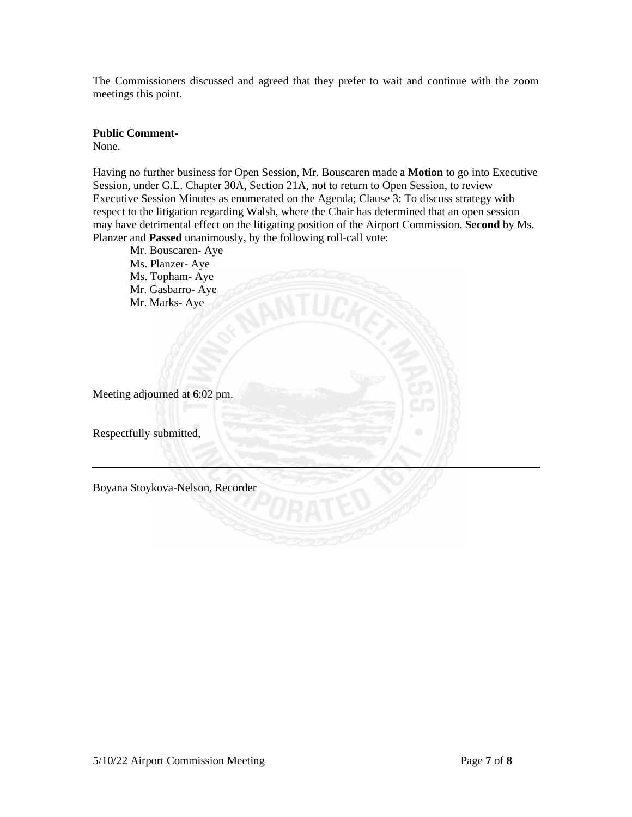The Commissioners discussed and agreed that they prefer to wait and continue with the zoom meetings this point.

#### **Public Comment-**

None.

Having no further business for Open Session, Mr. Bouscaren made a **Motion** to go into Executive Session, under G.L. Chapter 30A, Section 21A, not to return to Open Session, to review Executive Session Minutes as enumerated on the Agenda; Clause 3: To discuss strategy with respect to the litigation regarding Walsh, where the Chair has determined that an open session may have detrimental effect on the litigating position of the Airport Commission. **Second** by Ms. Planzer and **Passed** unanimously, by the following roll-call vote:

Mr. Bouscaren- Aye Ms. Planzer- Aye Ms. Topham- Aye Mr. Gasbarro- Aye Mr. Marks- Aye

Meeting adjourned at 6:02 pm.

Respectfully submitted,

Boyana Stoykova-Nelson, Recorder